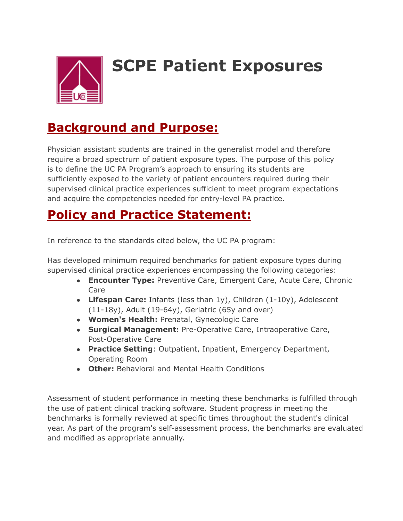

# **SCPE Patient Exposures**

#### **Background and Purpose:**

Physician assistant students are trained in the generalist model and therefore require a broad spectrum of patient exposure types. The purpose of this policy is to define the UC PA Program's approach to ensuring its students are sufficiently exposed to the variety of patient encounters required during their supervised clinical practice experiences sufficient to meet program expectations and acquire the competencies needed for entry-level PA practice.

#### **Policy and Practice Statement:**

In reference to the standards cited below, the UC PA program:

Has developed minimum required benchmarks for patient exposure types during supervised clinical practice experiences encompassing the following categories:

- **Encounter Type:** Preventive Care, Emergent Care, Acute Care, Chronic Care
- **Lifespan Care:** Infants (less than 1y), Children (1-10y), Adolescent (11-18y), Adult (19-64y), Geriatric (65y and over)
- **Women's Health:** Prenatal, Gynecologic Care
- **Surgical Management:** Pre-Operative Care, Intraoperative Care, Post-Operative Care
- **Practice Setting**: Outpatient, Inpatient, Emergency Department, Operating Room
- **Other:** Behavioral and Mental Health Conditions

Assessment of student performance in meeting these benchmarks is fulfilled through the use of patient clinical tracking software. Student progress in meeting the benchmarks is formally reviewed at specific times throughout the student's clinical year. As part of the program's self-assessment process, the benchmarks are evaluated and modified as appropriate annually.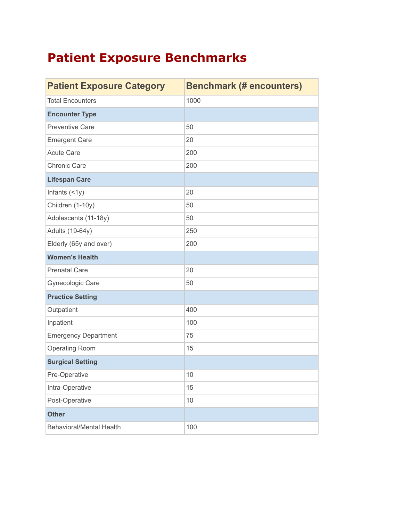## **Patient Exposure Benchmarks**

| <b>Patient Exposure Category</b> | <b>Benchmark (# encounters)</b> |
|----------------------------------|---------------------------------|
| <b>Total Encounters</b>          | 1000                            |
| <b>Encounter Type</b>            |                                 |
| <b>Preventive Care</b>           | 50                              |
| <b>Emergent Care</b>             | 20                              |
| <b>Acute Care</b>                | 200                             |
| <b>Chronic Care</b>              | 200                             |
| <b>Lifespan Care</b>             |                                 |
| Infants $($ < 1y $)$             | 20                              |
| Children (1-10y)                 | 50                              |
| Adolescents (11-18y)             | 50                              |
| <b>Adults (19-64y)</b>           | 250                             |
| Elderly (65y and over)           | 200                             |
| <b>Women's Health</b>            |                                 |
| <b>Prenatal Care</b>             | 20                              |
| Gynecologic Care                 | 50                              |
| <b>Practice Setting</b>          |                                 |
| Outpatient                       | 400                             |
| Inpatient                        | 100                             |
| <b>Emergency Department</b>      | 75                              |
| <b>Operating Room</b>            | 15                              |
| <b>Surgical Setting</b>          |                                 |
| Pre-Operative                    | 10                              |
| Intra-Operative                  | 15                              |
| Post-Operative                   | 10                              |
| <b>Other</b>                     |                                 |
| <b>Behavioral/Mental Health</b>  | 100                             |